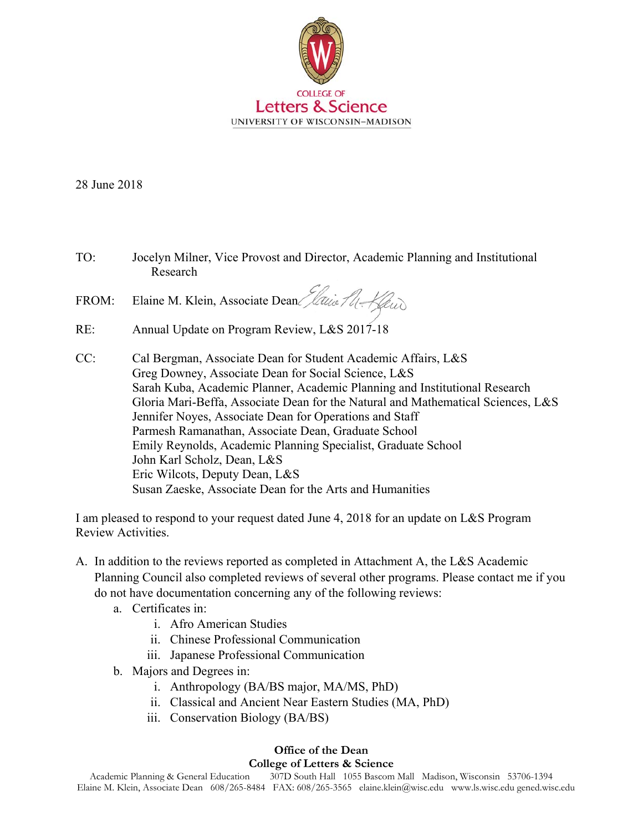

28 June 2018

TO: Jocelyn Milner, Vice Provost and Director, Academic Planning and Institutional Research

FROM: Elaine M. Klein, Associate Dean *Jaine Al-Keud* 

- RE: Annual Update on Program Review, L&S 2017-18
- CC: Cal Bergman, Associate Dean for Student Academic Affairs, L&S Greg Downey, Associate Dean for Social Science, L&S Sarah Kuba, Academic Planner, Academic Planning and Institutional Research Gloria Mari-Beffa, Associate Dean for the Natural and Mathematical Sciences, L&S Jennifer Noyes, Associate Dean for Operations and Staff Parmesh Ramanathan, Associate Dean, Graduate School Emily Reynolds, Academic Planning Specialist, Graduate School John Karl Scholz, Dean, L&S Eric Wilcots, Deputy Dean, L&S Susan Zaeske, Associate Dean for the Arts and Humanities

I am pleased to respond to your request dated June 4, 2018 for an update on L&S Program Review Activities.

- A. In addition to the reviews reported as completed in Attachment A, the L&S Academic Planning Council also completed reviews of several other programs. Please contact me if you do not have documentation concerning any of the following reviews:
	- a. Certificates in:
		- i. Afro American Studies
		- ii. Chinese Professional Communication
		- iii. Japanese Professional Communication
	- b. Majors and Degrees in:
		- i. Anthropology (BA/BS major, MA/MS, PhD)
		- ii. Classical and Ancient Near Eastern Studies (MA, PhD)
		- iii. Conservation Biology (BA/BS)

## **Office of the Dean**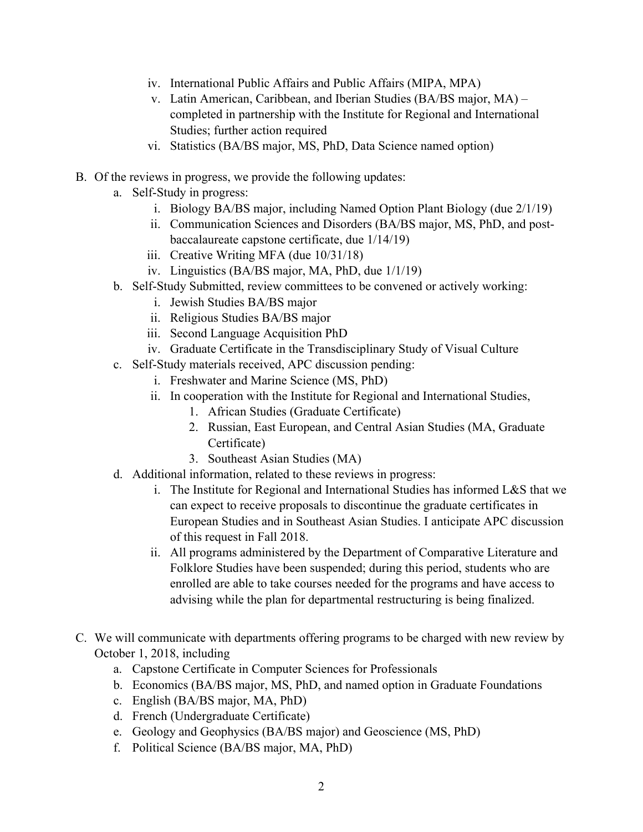- iv. International Public Affairs and Public Affairs (MIPA, MPA)
- v. Latin American, Caribbean, and Iberian Studies (BA/BS major, MA) completed in partnership with the Institute for Regional and International Studies; further action required
- vi. Statistics (BA/BS major, MS, PhD, Data Science named option)
- B. Of the reviews in progress, we provide the following updates:
	- a. Self-Study in progress:
		- i. Biology BA/BS major, including Named Option Plant Biology (due 2/1/19)
		- ii. Communication Sciences and Disorders (BA/BS major, MS, PhD, and postbaccalaureate capstone certificate, due 1/14/19)
		- iii. Creative Writing MFA (due 10/31/18)
		- iv. Linguistics (BA/BS major, MA, PhD, due 1/1/19)
	- b. Self-Study Submitted, review committees to be convened or actively working:
		- i. Jewish Studies BA/BS major
		- ii. Religious Studies BA/BS major
		- iii. Second Language Acquisition PhD
		- iv. Graduate Certificate in the Transdisciplinary Study of Visual Culture
	- c. Self-Study materials received, APC discussion pending:
		- i. Freshwater and Marine Science (MS, PhD)
		- ii. In cooperation with the Institute for Regional and International Studies,
			- 1. African Studies (Graduate Certificate)
			- 2. Russian, East European, and Central Asian Studies (MA, Graduate Certificate)
			- 3. Southeast Asian Studies (MA)
	- d. Additional information, related to these reviews in progress:
		- i. The Institute for Regional and International Studies has informed L&S that we can expect to receive proposals to discontinue the graduate certificates in European Studies and in Southeast Asian Studies. I anticipate APC discussion of this request in Fall 2018.
		- ii. All programs administered by the Department of Comparative Literature and Folklore Studies have been suspended; during this period, students who are enrolled are able to take courses needed for the programs and have access to advising while the plan for departmental restructuring is being finalized.
- C. We will communicate with departments offering programs to be charged with new review by October 1, 2018, including
	- a. Capstone Certificate in Computer Sciences for Professionals
	- b. Economics (BA/BS major, MS, PhD, and named option in Graduate Foundations
	- c. English (BA/BS major, MA, PhD)
	- d. French (Undergraduate Certificate)
	- e. Geology and Geophysics (BA/BS major) and Geoscience (MS, PhD)
	- f. Political Science (BA/BS major, MA, PhD)